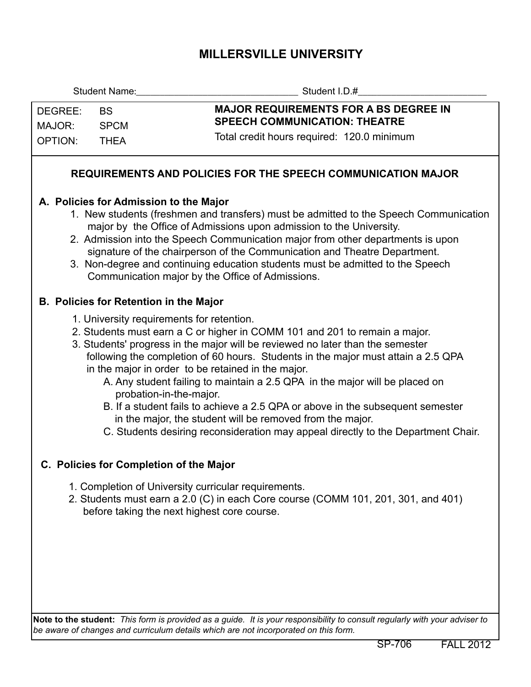## **MILLERSVILLE UNIVERSITY**

|                                                                                                                                                                                                                                                                                                                                                                                                                                                                                                                                                                                                                                                                                                    |                          | Student Name: Student I.D.#                                                                                                                                                              |  |  |  |  |  |  |
|----------------------------------------------------------------------------------------------------------------------------------------------------------------------------------------------------------------------------------------------------------------------------------------------------------------------------------------------------------------------------------------------------------------------------------------------------------------------------------------------------------------------------------------------------------------------------------------------------------------------------------------------------------------------------------------------------|--------------------------|------------------------------------------------------------------------------------------------------------------------------------------------------------------------------------------|--|--|--|--|--|--|
| DEGREE:<br>MAJOR:                                                                                                                                                                                                                                                                                                                                                                                                                                                                                                                                                                                                                                                                                  | <b>BS</b><br><b>SPCM</b> | <b>MAJOR REQUIREMENTS FOR A BS DEGREE IN</b><br><b>SPEECH COMMUNICATION: THEATRE</b>                                                                                                     |  |  |  |  |  |  |
| OPTION:                                                                                                                                                                                                                                                                                                                                                                                                                                                                                                                                                                                                                                                                                            | <b>THEA</b>              | Total credit hours required: 120.0 minimum                                                                                                                                               |  |  |  |  |  |  |
| REQUIREMENTS AND POLICIES FOR THE SPEECH COMMUNICATION MAJOR                                                                                                                                                                                                                                                                                                                                                                                                                                                                                                                                                                                                                                       |                          |                                                                                                                                                                                          |  |  |  |  |  |  |
| A. Policies for Admission to the Major<br>1. New students (freshmen and transfers) must be admitted to the Speech Communication<br>major by the Office of Admissions upon admission to the University.<br>2. Admission into the Speech Communication major from other departments is upon<br>signature of the chairperson of the Communication and Theatre Department.<br>3. Non-degree and continuing education students must be admitted to the Speech<br>Communication major by the Office of Admissions.                                                                                                                                                                                       |                          |                                                                                                                                                                                          |  |  |  |  |  |  |
| <b>B. Policies for Retention in the Major</b>                                                                                                                                                                                                                                                                                                                                                                                                                                                                                                                                                                                                                                                      |                          |                                                                                                                                                                                          |  |  |  |  |  |  |
| 1. University requirements for retention.<br>2. Students must earn a C or higher in COMM 101 and 201 to remain a major.<br>3. Students' progress in the major will be reviewed no later than the semester<br>following the completion of 60 hours. Students in the major must attain a 2.5 QPA<br>in the major in order to be retained in the major.<br>A. Any student failing to maintain a 2.5 QPA in the major will be placed on<br>probation-in-the-major.<br>B. If a student fails to achieve a 2.5 QPA or above in the subsequent semester<br>in the major, the student will be removed from the major.<br>C. Students desiring reconsideration may appeal directly to the Department Chair. |                          |                                                                                                                                                                                          |  |  |  |  |  |  |
| C. Policies for Completion of the Major                                                                                                                                                                                                                                                                                                                                                                                                                                                                                                                                                                                                                                                            |                          |                                                                                                                                                                                          |  |  |  |  |  |  |
|                                                                                                                                                                                                                                                                                                                                                                                                                                                                                                                                                                                                                                                                                                    |                          | 1. Completion of University curricular requirements.<br>2. Students must earn a 2.0 (C) in each Core course (COMM 101, 201, 301, and 401)<br>before taking the next highest core course. |  |  |  |  |  |  |

**Note to the student:** *This form is provided as a guide. It is your responsibility to consult regularly with your adviser to be aware of changes and curriculum details which are not incorporated on this form.*